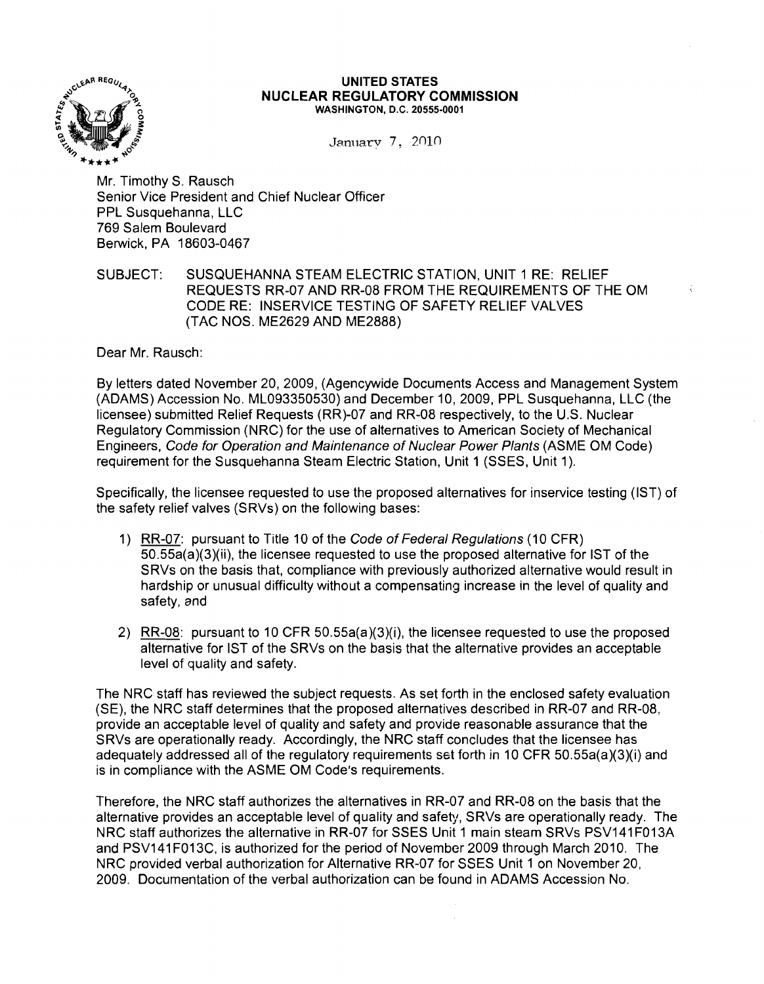

#### **UNITED STATES NUCLEAR REGULATORY COMMISSION** WASHINGTON, D.C. 20555-0001

January 7, 2010

Mr. Timothy S. Rausch Senior Vice President and Chief Nuclear Officer PPL Susquehanna, LLC 769 Salem Boulevard Berwick, PA 18603-0467

SUBJECT: SUSQUEHANNA STEAM ELECTRIC STATION, UNIT 1 RE: RELIEF REQUESTS RR-07 AND RR-08 FROM THE REQUIREMENTS OF THE OM CODE RE: INSERVICE TESTING OF SAFETY RELIEF VALVES (TAC NOS. ME2629 AND ME2888)

Dear Mr. Rausch:

By letters dated November 20, 2009, (Agencywide Documents Access and Management System (ADAMS) Accession No. ML093350530) and December 10, 2009, PPL Susquehanna, LLC (the licensee) submitted Relief Requests (RR)-07 and RR-08 respectively, to the U.S. Nuclear Regulatory Commission (NRC) for the use of alternatives to American Society of Mechanical Engineers, Code for Operation and Maintenance of Nuclear Power Plants (ASME OM Code) requirement for the Susquehanna Steam Electric Station, Unit 1 (SSES, Unit 1).

Specifically, the licensee requested to use the proposed alternatives for inservice testing (1ST) of the safety relief valves (SRVs) on the following bases:

- 1) RR-07: pursuant to Title 10 of the Code of Federal Regulations (10 CFR) 50.55a(a)(3)(ii), the licensee requested to use the proposed alternative for 1ST of the SRVs on the basis that, compliance with previously authorized alternative would result in hardship or unusual difficulty without a compensating increase in the level of quality and safety, end
- 2) RR-08: pursuant to 10 CFR 50.55a(a)(3)(i), the licensee requested to use the proposed alternative for 1ST of the SRVs on the basis that the alternative provides an acceptable level of quality and safety.

The NRC staff has reviewed the subject requests. As set forth in the enclosed safety evaluation (SE), the NRC staff determines that the proposed alternatives described in RR-07 and RR-08, provide an acceptable level of quality and safety and provide reasonable assurance that the SRVs are operationally ready. Accordingly, the NRC staff concludes that the licensee has adequately addressed all of the regulatory requirements set forth in 10 CFR  $50.55a(a)(3)(i)$  and is in compliance with the ASME OM Code's requirements.

Therefore, the NRC staff authorizes the alternatives in RR-07 and RR-08 on the basis that the alternative provides an acceptable level of quality and safety, SRVs are operationally ready. The NRC staff authorizes the alternative in RR-07 for SSES Unit 1 main steam SRVs PSV141 F013A and PSV141 F013C, is authorized for the period of November 2009 through March 2010. The NRC provided verbal authorization for Alternative RR-07 for SSES Unit 1 on November 20, 2009. Documentation of the verbal authorization can be found in ADAMS Accession No.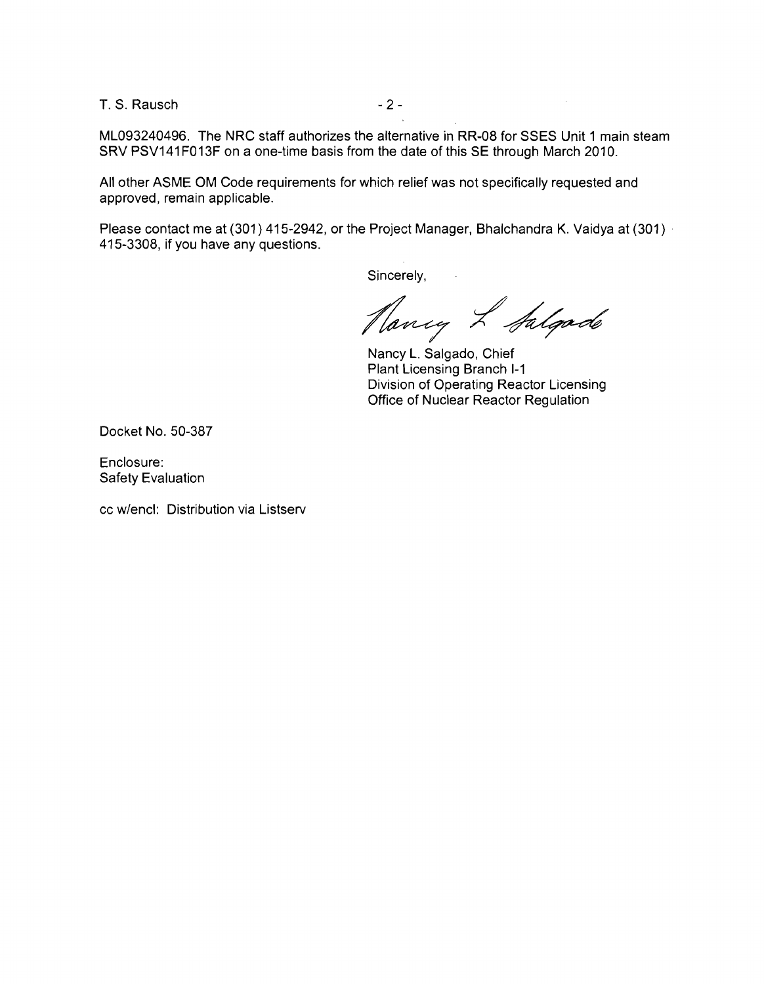T. S. Rausch - 2

ML093240496. The NRC staff authorizes the alternative in RR-08 for SSES Unit 1 main steam SRV PSV141 F013 F on a one-time basis from the date of this SE through March 2010.

All other ASME OM Code requirements for which relief was not specifically requested and approved, remain applicable.

Please contact me at (301) 415-2942, or the Project Manager, Bhalchandra K. Vaidya at (301) . 415-3308, if you have any questions.

Sincerely,

Nancy L Salgado

Nancy L. Salgado, Chief Plant Licensing Branch 1-1 Division of Operating Reactor Licensing Office of Nuclear Reactor Regulation

Docket No. 50-387

Enclosure: Safety Evaluation

cc w/encl: Distribution via Listserv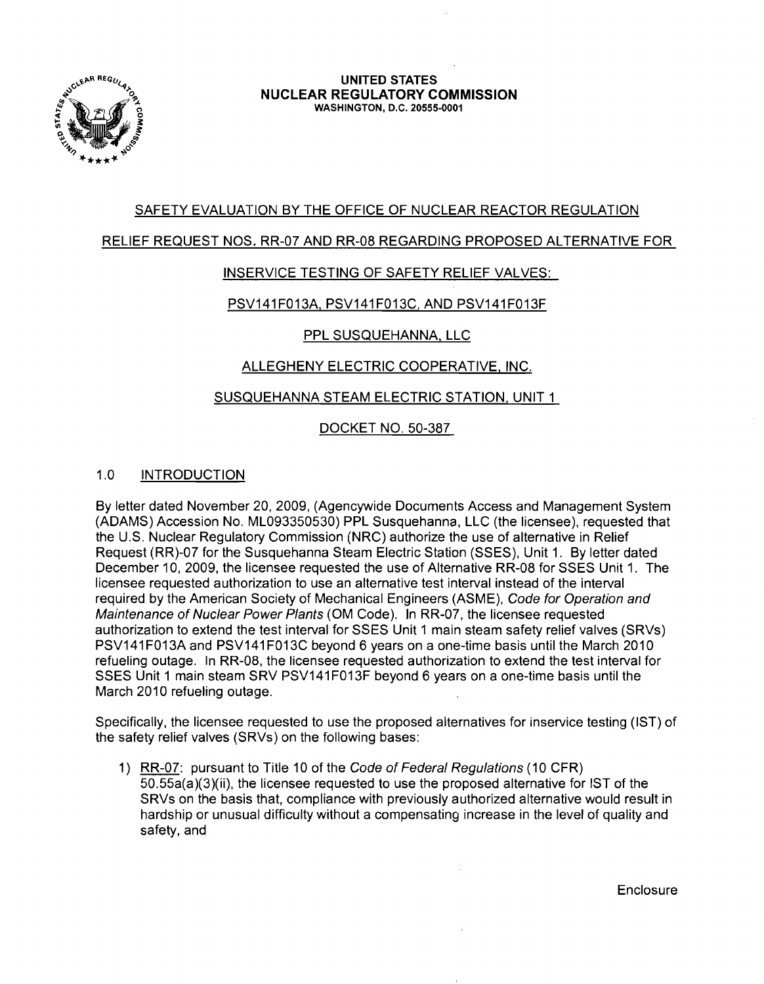

#### **UNITED** STATES **NUCLEAR REGULATORY COMMISSION** WASHINGTON, D.C. 20555-0001

# SAFETY EVALUATION BY THE OFFICE OF NUCLEAR REACTOR REGULATION

#### RELIEF REQUEST NOS. RR-07 AND RR-08 REGARDING PROPOSED ALTERNATIVE FOR

### INSERVICE TESTING OF SAFETY RELIEF VALVES:

### PSV141F013A, PSV141F013C, AND PSV141F013F

# PPL SUSQUEHANNA, LLC

# ALLEGHENY ELECTRIC COOPERATIVE, INC.

### SUSQUEHANNA STEAM ELECTRIC STATION, UNIT 1

# DOCKET NO. 50-387

### 1.0 INTRODUCTION

By letter dated November 20, 2009, (Agencywide Documents Access and Management System (ADAMS) Accession No. ML093350530) PPL Susquehanna, LLC (the licensee), requested that the U.S. Nuclear Regulatory Commission (NRC) authorize the use of alternative in Relief Request (RR)-07 for the Susquehanna Steam Electric Station (SSES), Unit 1. By letter dated December 10, 2009, the licensee requested the use of Alternative RR-08 for SSES Unit 1. The licensee requested authorization to use an alternative test interval instead of the interval required by the American Society of Mechanical Engineers (ASME), Code for Operation and Maintenance of Nuclear Power Plants (OM Code). In RR-07, the licensee requested authorization to extend the test interval for SSES Unit 1 main steam safety relief valves (SRVs) PSV141 F013A and PSV141 F013C beyond 6 years on a one-time basis until the March 2010 refueling outage. In RR-08, the licensee requested authorization to extend the test interval for SSES Unit 1 main steam SRV PSV141 F013 F beyond 6 years on a one-time basis until the March 2010 refueling outage.

Specifically, the licensee requested to use the proposed alternatives for inservice testing (1ST) of the safety relief valves (SRVs) on the following bases:

1) RR-07: pursuant to Title 10 of the Code of Federal Regulations (10 CFR) 50.55a(a)(3)(ii), the licensee requested to use the proposed alternative for 1ST of the SRVs on the basis that, compliance with previously authorized alternative would result in hardship or unusual difficulty without a compensating increase in the level of quality and safety, and

**Enclosure**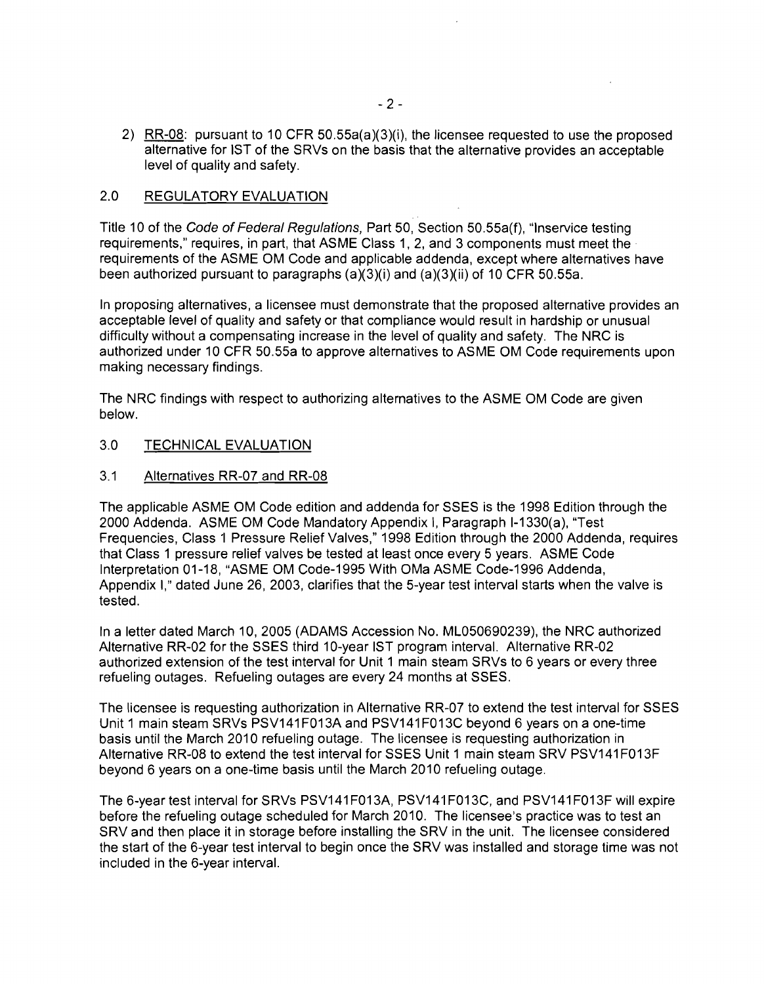2) RR-08: pursuant to 10 CFR 50.55a(a)(3)(i), the licensee requested to use the proposed alternative for 1ST of the SRVs on the basis that the alternative provides an acceptable level of quality and safety.

# 2.0 REGULATORY EVALUATION

Title 10 of the Code of Federal Regulations, Part 50, Section 50.55a(f), "Inservice testing requirements," requires, in part, that ASME Class 1, 2, and 3 components must meet the requirements of the ASME OM Code and applicable addenda, except where alternatives have been authorized pursuant to paragraphs (a)(3)(i) and (a)(3)(ii) of 10 CFR 50.55a.

In proposing alternatives, a licensee must demonstrate that the proposed alternative provides an acceptable level of quality and safety or that compliance would result in hardship or unusual difficulty without a compensating increase in the level of quality and safety. The NRC is authorized under 10 CFR 50.55a to approve alternatives to ASME OM Code requirements upon making necessary findings.

The NRC findings with respect to authorizing alternatives to the ASME OM Code are given below.

# 3.0 TECHNICAL EVALUATION

#### 3.1 Alternatives RR-07 and RR-08

The applicable ASME OM Code edition and addenda for SSES is the 1998 Edition through the 2000 Addenda. ASME OM Code Mandatory Appendix I, Paragraph 1-1330(a), "Test Frequencies, Class 'I Pressure Relief Valves," 1998 Edition through the 2000 Addenda, requires that Class 1 pressure relief valves be tested at least once every 5 years. ASME Code Interpretation 01-18, "ASME OM Code-1995 With OMa ASME Code-1996 Addenda, Appendix I," dated June 26, 2003, clarifies that the 5-year test interval starts when the valve is tested.

In a letter dated March 10, 2005 (ADAMS Accession No. ML050690239), the NRC authorized Alternative RR-02 for the SSES third 10-year 1ST program interval. Alternative RR-02 authorized extension of the test interval for Unit 1 main steam SRVs to 6 years or every three refueling outages. Refueling outages are every 24 months at SSES.

The licensee is requesting authorization in Alternative RR-07 to extend the test interval for SSES Unit 1 main steam SRVs PSV141F013A and PSV14'IF013C beyond 6 years on a one-time basis until the March 2010 refueling outage. The licensee is requesting authorization in Alternative RR-08 to extend the test interval for SSES Unit 1 main steam SRV PSV141F013F beyond 6 years on a one-time basis until the March 2010 refueling outage.

The 6-year test interval for SRVs PSV141 F013A, PSV141 F013C, and PSV141 F013 F will expire before the refueling outage scheduled for March 2010. The licensee's practice was to test an SRV and then place it in storage before installing the SRV in the unit. The licensee considered the start of the 6-year test interval to begin once the SRV was installed and storage time was not included in the 6-year interval.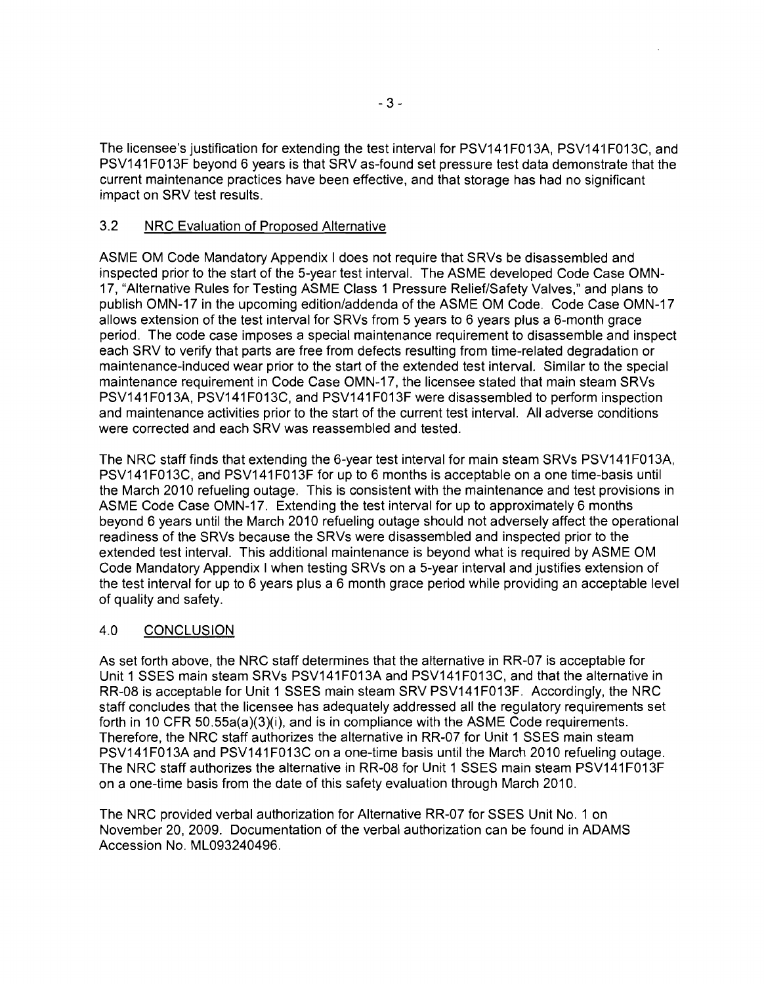The licensee's justification for extending the test interval for PSV141F013A, PSV141F013C, and PSV141 F013F bevond 6 years is that SRV as-found set pressure test data demonstrate that the current maintenance practices have been effective, and that storage has had no significant impact on SRV test results.

### 3.2 NRC Evaluation of Proposed Alternative

ASME OM Code Mandatory Appendix I does not require that SRVs be disassembled and inspected prior to the start of the 5-year test interval. The ASME developed Code Case OMN-17, "Alternative Rules for Testing ASME Class 1 Pressure Relief/Safety Valves," and plans to publish OMN-17 in the upcoming edition/addenda of the ASME OM Code. Code Case OMN-17 allows extension of the test interval for SRVs from 5 years to 6 years plus a 6-month grace period. The code case imposes a special maintenance requirement to disassemble and inspect each SRV to verify that parts are free from defects resulting from time-related degradation or maintenance-induced wear prior to the start of the extended test interval. Similar to the special maintenance requirement in Code Case OMN-17, the licensee stated that main steam SRVs PSV141 F013A, PSV141 F013C, and PSV141 F013F were disassembled to perform inspection and maintenance activities prior to the start of the current test interval. All adverse conditions were corrected and each SRV was reassembled and tested.

The NRC staff finds that extending the 6-year test interval for main steam SRVs PSV141F013A, PSV141 FO 13C, and PSV141 FO 13F for up to 6 months is acceptable on a one time-basis until the March 2010 refueling outage. This is consistent with the maintenance and test provisions in ASME Code Case OMN-17. Extending the test interval for up to approximately 6 months beyond 6 years until the March 2010 refueling outage should not adversely affect the operational readiness of the SRVs because the SRVs were disassembled and inspected prior to the extended test interval. This additional maintenance is beyond what is required by ASME OM Code Mandatory Appendix I when testing SRVs on a 5-year interval and justifies extension of the test interval for up to 6 years plus a 6 month grace period while providing an acceptable level of quality and safety.

# 4.0 CONCLUSION

As set forth above, the NRC staff determines that the alternative in RR-07 is acceptable for Unit 1 SSES main steam SRVs PSV141F013A and PSV141F013C, and that the alternative in RR-08 is acceptable for Unit 1 SSES main steam SRV PSV141F013F. Accordingly, the NRC staff concludes that the licensee has adequately addressed all the regulatory requirements set forth in 10 CFR 50.55a(a)(3)(i), and is in compliance with the ASME Code requirements. Therefore, the NRC staff authorizes the alternative in RR-07 for Unit 1 SSES main steam PSV141 F013A and PSV141 F013C on a one-time basis until the March 2010 refueling outage. The NRC staff authorizes the alternative in RR-08 for Unit 1 SSES main steam PSV141 F013 F on a one-time basis from the date of this safety evaluation through March 2010.

The NRC provided verbal authorization for Alternative RR-07 for SSES Unit No.1 on November 20, 2009. Documentation of the verbal authorization can be found in ADAMS Accession No. ML093240496.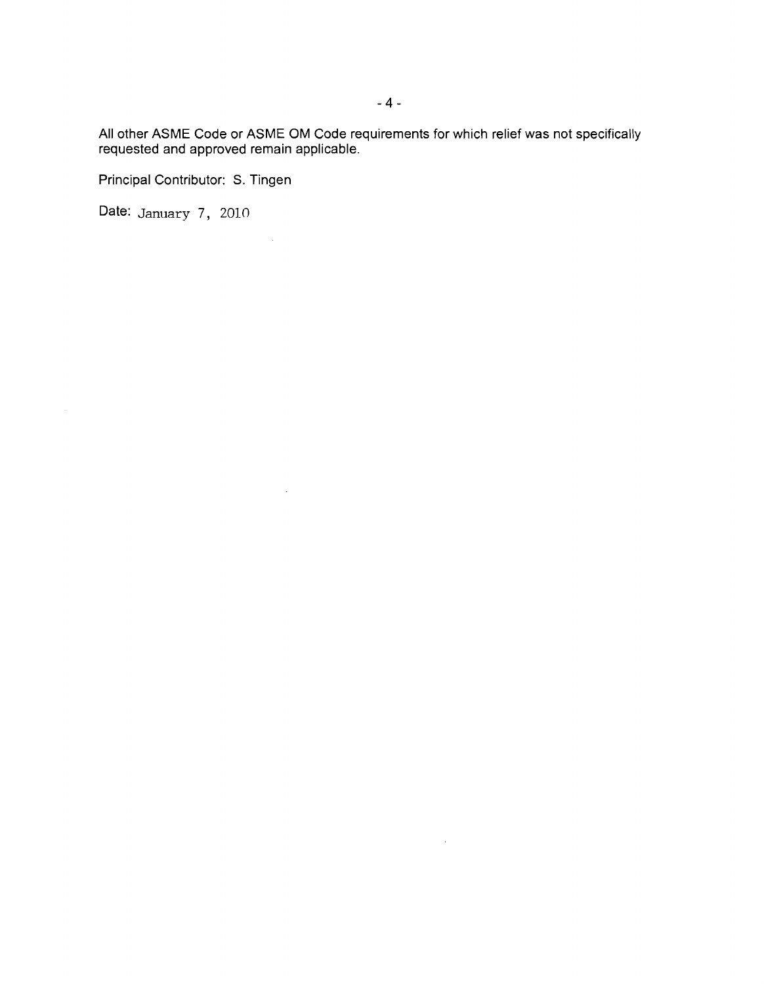All other ASME Code or ASME OM Code requirements for which relief was not specifically requested and approved remain applicable.

 $\sim 10^{11}$  km s  $^{-1}$ 

Principal Contributor: S. Tingen

Date: January 7, 2010

 $\sim 10^{-1}$